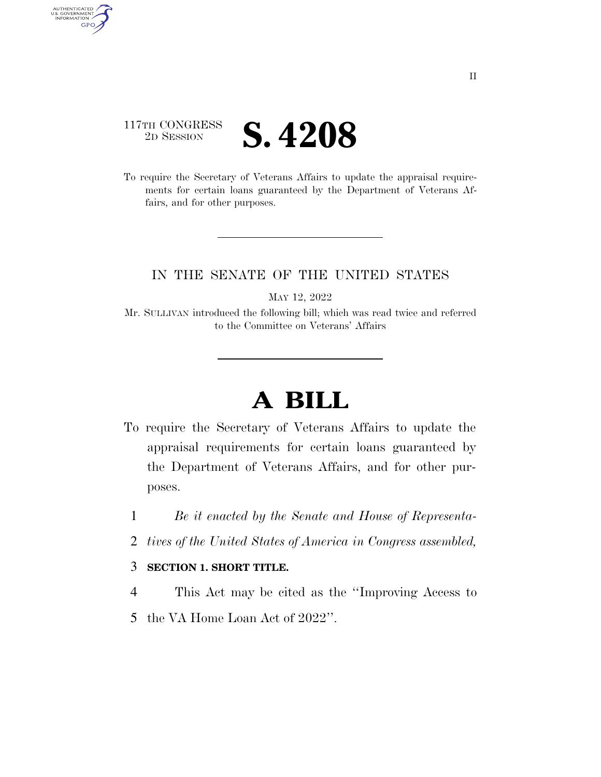## 117TH CONGRESS **ED SESSION S. 4208**

AUTHENTICATED<br>U.S. GOVERNMENT<br>INFORMATION GPO

> To require the Secretary of Veterans Affairs to update the appraisal requirements for certain loans guaranteed by the Department of Veterans Affairs, and for other purposes.

## IN THE SENATE OF THE UNITED STATES

MAY 12, 2022

Mr. SULLIVAN introduced the following bill; which was read twice and referred to the Committee on Veterans' Affairs

## **A BILL**

- To require the Secretary of Veterans Affairs to update the appraisal requirements for certain loans guaranteed by the Department of Veterans Affairs, and for other purposes.
	- 1 *Be it enacted by the Senate and House of Representa-*
	- 2 *tives of the United States of America in Congress assembled,*

## 3 **SECTION 1. SHORT TITLE.**

- 4 This Act may be cited as the ''Improving Access to
- 5 the VA Home Loan Act of 2022''.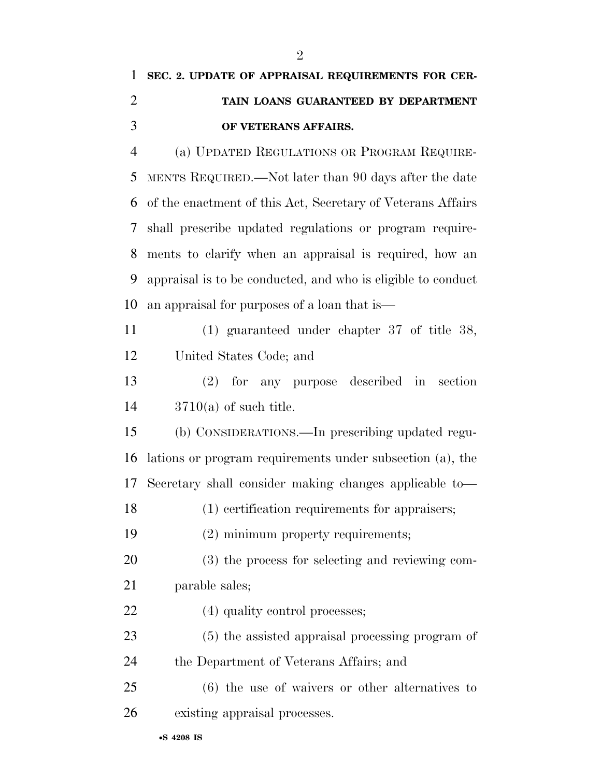| $\mathbf{1}$   | SEC. 2. UPDATE OF APPRAISAL REQUIREMENTS FOR CER-             |
|----------------|---------------------------------------------------------------|
| 2              | TAIN LOANS GUARANTEED BY DEPARTMENT                           |
| 3              | OF VETERANS AFFAIRS.                                          |
| $\overline{4}$ | (a) UPDATED REGULATIONS OR PROGRAM REQUIRE-                   |
|                | 5 MENTS REQUIRED.—Not later than 90 days after the date       |
|                | 6 of the enactment of this Act, Secretary of Veterans Affairs |
|                | 7 shall prescribe updated regulations or program require-     |
| 8              | ments to clarify when an appraisal is required, how an        |
| 9              | appraisal is to be conducted, and who is eligible to conduct  |
| 10             | an appraisal for purposes of a loan that is                   |

 (1) guaranteed under chapter 37 of title 38, United States Code; and

 (2) for any purpose described in section 3710(a) of such title.

 (b) CONSIDERATIONS.—In prescribing updated regu- lations or program requirements under subsection (a), the Secretary shall consider making changes applicable to—

(1) certification requirements for appraisers;

(2) minimum property requirements;

 (3) the process for selecting and reviewing com-parable sales;

22 (4) quality control processes;

 (5) the assisted appraisal processing program of the Department of Veterans Affairs; and

 (6) the use of waivers or other alternatives to existing appraisal processes.